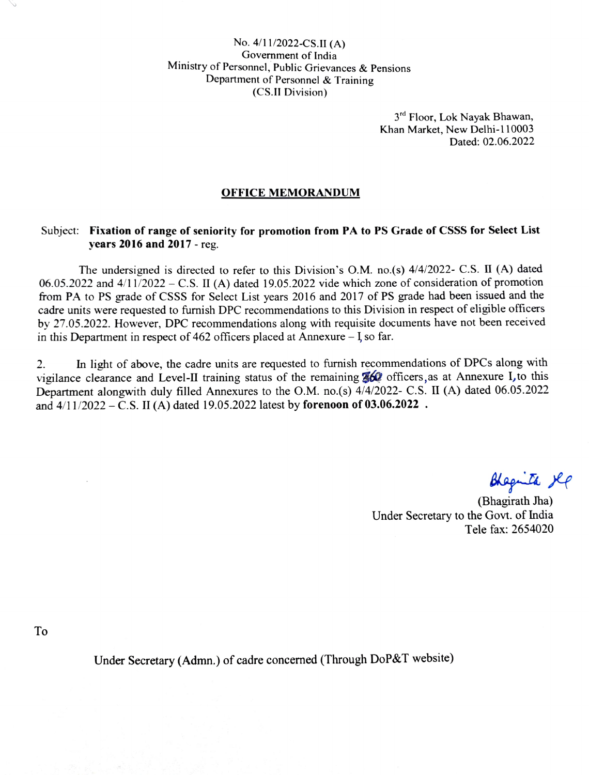No. 4/11/2022-CS.II (A) Government of India Ministry of Personnel, Public Grievances & Pensions Department of Personnel & Training (Cs.II Division)

> $3<sup>rd</sup>$  Floor, Lok Nayak Bhawan, Khan Market, New Delhi-110003 Dated: 02.06.2022

## OFFICE MEMORANDUM

## Subject: Fixation of range of seniority for promotion from PA to PS Grade of CSSS for Select List years 2016 and 2017 - reg.

The undersigned is directed to refer to this Division's O.M. no.(s) 4/4/2022- C.S. I (A) dated 06.05.2022 and  $4/11/2022 - C.S.$  II (A) dated 19.05.2022 vide which zone of consideration of promotion from PA to PS grade of CSSS for Select List years 2016 and 2017 of PS grade had been issued and the cadre units were requested to furnish DPC recommendations to this Division in respect of eligible officers by 27.05.2022. However, DPC recommendations along with requisite documents have not been received in this Department in respect of 462 officers placed at Annexure  $-$  I so far.

In light of above, the cadre units are requested to furnish recommendations of DPCs along with vigilance clearance and Level-II training status of the remaining **360** officers, as at Annexure I, to this Department alongwith duly filled Annexures to the O.M. no.(s) 4/4/2022- C.s. II (A) dated 06.05.2022 and  $4/11/2022 - C.S.$  II (A) dated 19.05.2022 latest by forenoon of 03.06.2022. 2.

Blagita Ke

(Bhagirath Jha) Under Secretary to the Govt. of India Tele fax: 2654020

To

Under Secretary (Admn.) of cadre concerned (Through DoP&T website)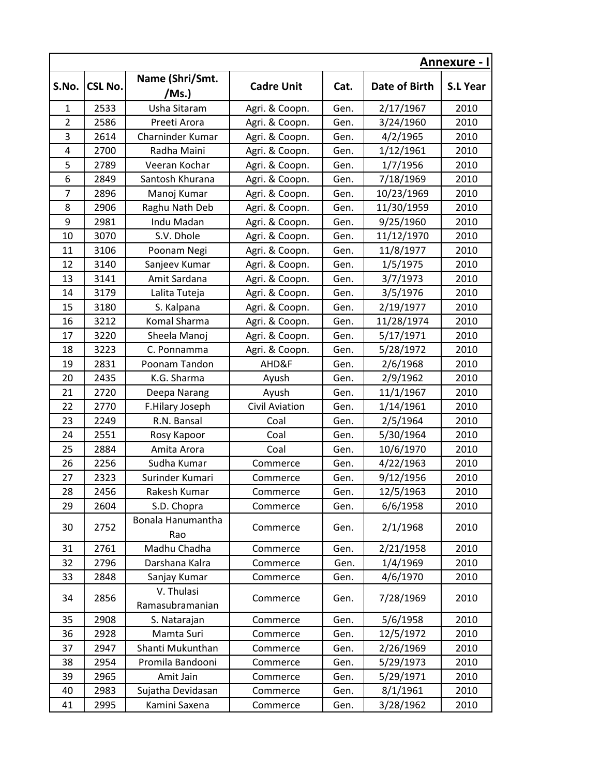|                         |                | <b>Annexure - I</b>           |                       |      |               |                 |
|-------------------------|----------------|-------------------------------|-----------------------|------|---------------|-----------------|
| S.No.                   | <b>CSL No.</b> | Name (Shri/Smt.<br>/Ms.)      | <b>Cadre Unit</b>     | Cat. | Date of Birth | <b>S.L Year</b> |
| $\mathbf{1}$            | 2533           | Usha Sitaram                  | Agri. & Coopn.        | Gen. | 2/17/1967     | 2010            |
| $\overline{2}$          | 2586           | Preeti Arora                  | Agri. & Coopn.        | Gen. | 3/24/1960     | 2010            |
| 3                       | 2614           | Charninder Kumar              | Agri. & Coopn.        | Gen. | 4/2/1965      | 2010            |
| $\overline{\mathbf{4}}$ | 2700           | Radha Maini                   | Agri. & Coopn.        | Gen. | 1/12/1961     | 2010            |
| 5                       | 2789           | Veeran Kochar                 | Agri. & Coopn.        | Gen. | 1/7/1956      | 2010            |
| 6                       | 2849           | Santosh Khurana               | Agri. & Coopn.        | Gen. | 7/18/1969     | 2010            |
| $\overline{7}$          | 2896           | Manoj Kumar                   | Agri. & Coopn.        | Gen. | 10/23/1969    | 2010            |
| 8                       | 2906           | Raghu Nath Deb                | Agri. & Coopn.        | Gen. | 11/30/1959    | 2010            |
| 9                       | 2981           | Indu Madan                    | Agri. & Coopn.        | Gen. | 9/25/1960     | 2010            |
| 10                      | 3070           | S.V. Dhole                    | Agri. & Coopn.        | Gen. | 11/12/1970    | 2010            |
| 11                      | 3106           | Poonam Negi                   | Agri. & Coopn.        | Gen. | 11/8/1977     | 2010            |
| 12                      | 3140           | Sanjeev Kumar                 | Agri. & Coopn.        | Gen. | 1/5/1975      | 2010            |
| 13                      | 3141           | Amit Sardana                  | Agri. & Coopn.        | Gen. | 3/7/1973      | 2010            |
| 14                      | 3179           | Lalita Tuteja                 | Agri. & Coopn.        | Gen. | 3/5/1976      | 2010            |
| 15                      | 3180           | S. Kalpana                    | Agri. & Coopn.        | Gen. | 2/19/1977     | 2010            |
| 16                      | 3212           | Komal Sharma                  | Agri. & Coopn.        | Gen. | 11/28/1974    | 2010            |
| 17                      | 3220           | Sheela Manoj                  | Agri. & Coopn.        | Gen. | 5/17/1971     | 2010            |
| 18                      | 3223           | C. Ponnamma                   | Agri. & Coopn.        | Gen. | 5/28/1972     | 2010            |
| 19                      | 2831           | Poonam Tandon                 | AHD&F                 | Gen. | 2/6/1968      | 2010            |
| 20                      | 2435           | K.G. Sharma                   | Ayush                 | Gen. | 2/9/1962      | 2010            |
| 21                      | 2720           | Deepa Narang                  | Ayush                 | Gen. | 11/1/1967     | 2010            |
| 22                      | 2770           | F.Hilary Joseph               | <b>Civil Aviation</b> | Gen. | 1/14/1961     | 2010            |
| 23                      | 2249           | R.N. Bansal                   | Coal                  | Gen. | 2/5/1964      | 2010            |
| 24                      | 2551           | Rosy Kapoor                   | Coal                  | Gen. | 5/30/1964     | 2010            |
| 25                      | 2884           | Amita Arora                   | Coal                  | Gen. | 10/6/1970     | 2010            |
| 26                      | 2256           | Sudha Kumar                   | Commerce              | Gen. | 4/22/1963     | 2010            |
| 27                      | 2323           | Surinder Kumari               | Commerce              | Gen. | 9/12/1956     | 2010            |
| 28                      | 2456           | Rakesh Kumar                  | Commerce              | Gen. | 12/5/1963     | 2010            |
| 29                      | 2604           | S.D. Chopra                   | Commerce              | Gen. | 6/6/1958      | 2010            |
| 30                      | 2752           | Bonala Hanumantha<br>Rao      | Commerce              | Gen. | 2/1/1968      | 2010            |
| 31                      | 2761           | Madhu Chadha                  | Commerce              | Gen. | 2/21/1958     | 2010            |
| 32                      | 2796           | Darshana Kalra                | Commerce              | Gen. | 1/4/1969      | 2010            |
| 33                      | 2848           | Sanjay Kumar                  | Commerce              | Gen. | 4/6/1970      | 2010            |
| 34                      | 2856           | V. Thulasi<br>Ramasubramanian | Commerce              | Gen. | 7/28/1969     | 2010            |
| 35                      | 2908           | S. Natarajan                  | Commerce              | Gen. | 5/6/1958      | 2010            |
| 36                      | 2928           | Mamta Suri                    | Commerce              | Gen. | 12/5/1972     | 2010            |
| 37                      | 2947           | Shanti Mukunthan              | Commerce              | Gen. | 2/26/1969     | 2010            |
| 38                      | 2954           | Promila Bandooni              | Commerce              | Gen. | 5/29/1973     | 2010            |
| 39                      | 2965           | Amit Jain                     | Commerce              | Gen. | 5/29/1971     | 2010            |
| 40                      | 2983           | Sujatha Devidasan             | Commerce              | Gen. | 8/1/1961      | 2010            |
| 41                      | 2995           | Kamini Saxena                 | Commerce              | Gen. | 3/28/1962     | 2010            |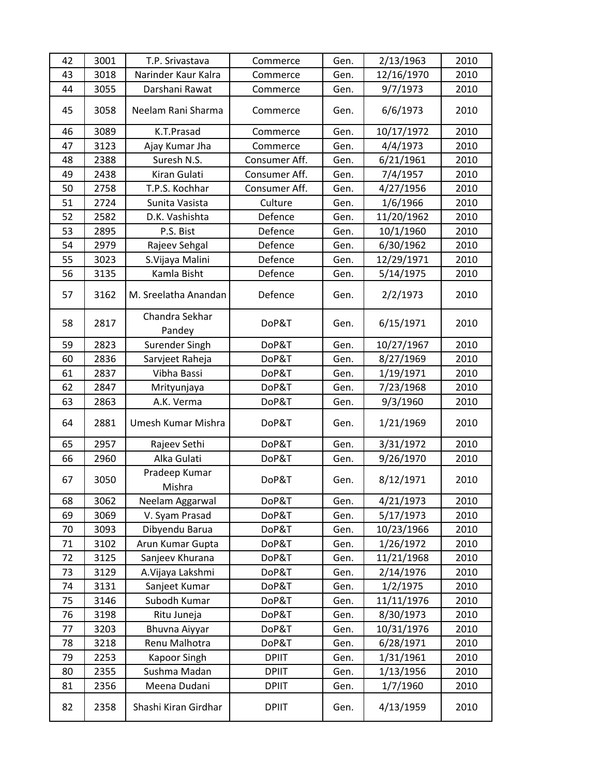| 42 | 3001 | T.P. Srivastava          | Commerce      | Gen. | 2/13/1963  | 2010 |
|----|------|--------------------------|---------------|------|------------|------|
| 43 | 3018 | Narinder Kaur Kalra      | Commerce      | Gen. | 12/16/1970 | 2010 |
| 44 | 3055 | Darshani Rawat           | Commerce      | Gen. | 9/7/1973   | 2010 |
| 45 | 3058 | Neelam Rani Sharma       | Commerce      | Gen. | 6/6/1973   | 2010 |
| 46 | 3089 | K.T.Prasad               | Commerce      | Gen. | 10/17/1972 | 2010 |
| 47 | 3123 | Ajay Kumar Jha           | Commerce      | Gen. | 4/4/1973   | 2010 |
| 48 | 2388 | Suresh N.S.              | Consumer Aff. | Gen. | 6/21/1961  | 2010 |
| 49 | 2438 | Kiran Gulati             | Consumer Aff. | Gen. | 7/4/1957   | 2010 |
| 50 | 2758 | T.P.S. Kochhar           | Consumer Aff. | Gen. | 4/27/1956  | 2010 |
| 51 | 2724 | Sunita Vasista           | Culture       | Gen. | 1/6/1966   | 2010 |
| 52 | 2582 | D.K. Vashishta           | Defence       | Gen. | 11/20/1962 | 2010 |
| 53 | 2895 | P.S. Bist                | Defence       | Gen. | 10/1/1960  | 2010 |
| 54 | 2979 | Rajeev Sehgal            | Defence       | Gen. | 6/30/1962  | 2010 |
| 55 | 3023 | S.Vijaya Malini          | Defence       | Gen. | 12/29/1971 | 2010 |
| 56 | 3135 | Kamla Bisht              | Defence       | Gen. | 5/14/1975  | 2010 |
| 57 | 3162 | M. Sreelatha Anandan     | Defence       | Gen. | 2/2/1973   | 2010 |
| 58 | 2817 | Chandra Sekhar<br>Pandey | DoP&T         | Gen. | 6/15/1971  | 2010 |
| 59 | 2823 | Surender Singh           | DoP&T         | Gen. | 10/27/1967 | 2010 |
| 60 | 2836 | Sarvjeet Raheja          | DoP&T         | Gen. | 8/27/1969  | 2010 |
| 61 | 2837 | Vibha Bassi              | DoP&T         | Gen. | 1/19/1971  | 2010 |
| 62 | 2847 | Mrityunjaya              | DoP&T         | Gen. | 7/23/1968  | 2010 |
| 63 | 2863 | A.K. Verma               | DoP&T         | Gen. | 9/3/1960   | 2010 |
| 64 | 2881 | Umesh Kumar Mishra       | DoP&T         | Gen. | 1/21/1969  | 2010 |
| 65 | 2957 | Rajeev Sethi             | DoP&T         | Gen. | 3/31/1972  | 2010 |
| 66 | 2960 | Alka Gulati              | DoP&T         | Gen. | 9/26/1970  | 2010 |
| 67 | 3050 | Pradeep Kumar<br>Mishra  | DoP&T         | Gen. | 8/12/1971  | 2010 |
| 68 | 3062 | Neelam Aggarwal          | DoP&T         | Gen. | 4/21/1973  | 2010 |
| 69 | 3069 | V. Syam Prasad           | DoP&T         | Gen. | 5/17/1973  | 2010 |
| 70 | 3093 | Dibyendu Barua           | DoP&T         | Gen. | 10/23/1966 | 2010 |
| 71 | 3102 | Arun Kumar Gupta         | DoP&T         | Gen. | 1/26/1972  | 2010 |
| 72 | 3125 | Sanjeev Khurana          | DoP&T         | Gen. | 11/21/1968 | 2010 |
| 73 | 3129 | A. Vijaya Lakshmi        | DoP&T         | Gen. | 2/14/1976  | 2010 |
| 74 | 3131 | Sanjeet Kumar            | DoP&T         | Gen. | 1/2/1975   | 2010 |
| 75 | 3146 | Subodh Kumar             | DoP&T         | Gen. | 11/11/1976 | 2010 |
| 76 | 3198 | Ritu Juneja              | DoP&T         | Gen. | 8/30/1973  | 2010 |
| 77 | 3203 | Bhuvna Aiyyar            | DoP&T         | Gen. | 10/31/1976 | 2010 |
| 78 | 3218 | Renu Malhotra            | DoP&T         | Gen. | 6/28/1971  | 2010 |
| 79 | 2253 | Kapoor Singh             | <b>DPIIT</b>  | Gen. | 1/31/1961  | 2010 |
| 80 | 2355 | Sushma Madan             | <b>DPIIT</b>  | Gen. | 1/13/1956  | 2010 |
| 81 | 2356 | Meena Dudani             | <b>DPIIT</b>  | Gen. | 1/7/1960   | 2010 |
| 82 | 2358 | Shashi Kiran Girdhar     | <b>DPIIT</b>  | Gen. | 4/13/1959  | 2010 |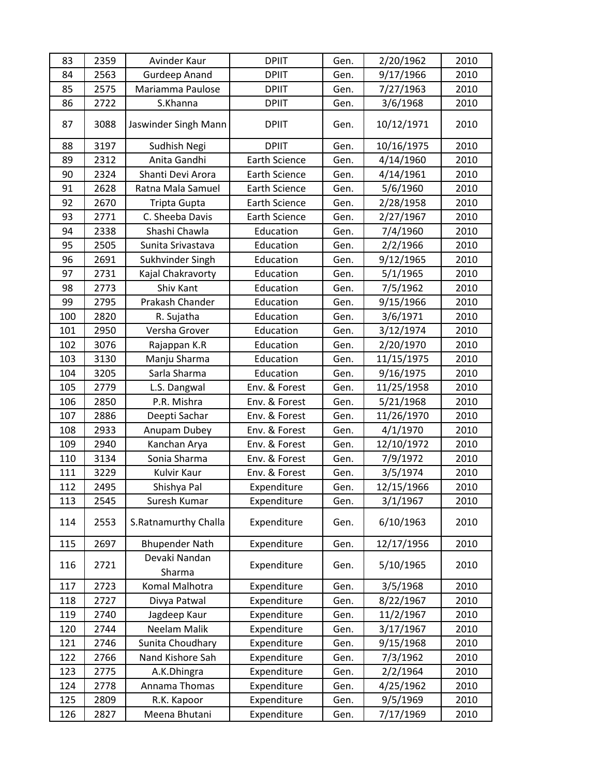| 83  | 2359 | Avinder Kaur            | <b>DPIIT</b>         | Gen. | 2/20/1962  | 2010 |
|-----|------|-------------------------|----------------------|------|------------|------|
| 84  | 2563 | <b>Gurdeep Anand</b>    | <b>DPIIT</b>         | Gen. | 9/17/1966  | 2010 |
| 85  | 2575 | Mariamma Paulose        | <b>DPIIT</b>         | Gen. | 7/27/1963  | 2010 |
| 86  | 2722 | S.Khanna                | <b>DPIIT</b>         | Gen. | 3/6/1968   | 2010 |
| 87  | 3088 | Jaswinder Singh Mann    | <b>DPIIT</b>         | Gen. | 10/12/1971 | 2010 |
| 88  | 3197 | Sudhish Negi            | <b>DPIIT</b>         | Gen. | 10/16/1975 | 2010 |
| 89  | 2312 | Anita Gandhi            | <b>Earth Science</b> | Gen. | 4/14/1960  | 2010 |
| 90  | 2324 | Shanti Devi Arora       | <b>Earth Science</b> | Gen. | 4/14/1961  | 2010 |
| 91  | 2628 | Ratna Mala Samuel       | <b>Earth Science</b> | Gen. | 5/6/1960   | 2010 |
| 92  | 2670 | Tripta Gupta            | <b>Earth Science</b> | Gen. | 2/28/1958  | 2010 |
| 93  | 2771 | C. Sheeba Davis         | <b>Earth Science</b> | Gen. | 2/27/1967  | 2010 |
| 94  | 2338 | Shashi Chawla           | Education            | Gen. | 7/4/1960   | 2010 |
| 95  | 2505 | Sunita Srivastava       | Education            | Gen. | 2/2/1966   | 2010 |
| 96  | 2691 | Sukhvinder Singh        | Education            | Gen. | 9/12/1965  | 2010 |
| 97  | 2731 | Kajal Chakravorty       | Education            | Gen. | 5/1/1965   | 2010 |
| 98  | 2773 | Shiv Kant               | Education            | Gen. | 7/5/1962   | 2010 |
| 99  | 2795 | Prakash Chander         | Education            | Gen. | 9/15/1966  | 2010 |
| 100 | 2820 | R. Sujatha              | Education            | Gen. | 3/6/1971   | 2010 |
| 101 | 2950 | Versha Grover           | Education            | Gen. | 3/12/1974  | 2010 |
| 102 | 3076 | Rajappan K.R            | Education            | Gen. | 2/20/1970  | 2010 |
| 103 | 3130 | Manju Sharma            | Education            | Gen. | 11/15/1975 | 2010 |
| 104 | 3205 | Sarla Sharma            | Education            | Gen. | 9/16/1975  | 2010 |
| 105 | 2779 | L.S. Dangwal            | Env. & Forest        | Gen. | 11/25/1958 | 2010 |
| 106 | 2850 | P.R. Mishra             | Env. & Forest        | Gen. | 5/21/1968  | 2010 |
| 107 | 2886 | Deepti Sachar           | Env. & Forest        | Gen. | 11/26/1970 | 2010 |
| 108 | 2933 | Anupam Dubey            | Env. & Forest        | Gen. | 4/1/1970   | 2010 |
| 109 | 2940 | Kanchan Arya            | Env. & Forest        | Gen. | 12/10/1972 | 2010 |
| 110 | 3134 | Sonia Sharma            | Env. & Forest        | Gen. | 7/9/1972   | 2010 |
| 111 | 3229 | Kulvir Kaur             | Env. & Forest        | Gen. | 3/5/1974   | 2010 |
| 112 | 2495 | Shishya Pal             | Expenditure          | Gen. | 12/15/1966 | 2010 |
| 113 | 2545 | Suresh Kumar            | Expenditure          | Gen. | 3/1/1967   | 2010 |
| 114 | 2553 | S.Ratnamurthy Challa    | Expenditure          | Gen. | 6/10/1963  | 2010 |
| 115 | 2697 | <b>Bhupender Nath</b>   | Expenditure          | Gen. | 12/17/1956 | 2010 |
| 116 | 2721 | Devaki Nandan<br>Sharma | Expenditure          | Gen. | 5/10/1965  | 2010 |
| 117 | 2723 | Komal Malhotra          | Expenditure          | Gen. | 3/5/1968   | 2010 |
| 118 | 2727 | Divya Patwal            | Expenditure          | Gen. | 8/22/1967  | 2010 |
| 119 | 2740 | Jagdeep Kaur            | Expenditure          | Gen. | 11/2/1967  | 2010 |
| 120 | 2744 | Neelam Malik            | Expenditure          | Gen. | 3/17/1967  | 2010 |
| 121 | 2746 | Sunita Choudhary        | Expenditure          | Gen. | 9/15/1968  | 2010 |
| 122 | 2766 | Nand Kishore Sah        | Expenditure          | Gen. | 7/3/1962   | 2010 |
| 123 | 2775 | A.K.Dhingra             | Expenditure          | Gen. | 2/2/1964   | 2010 |
| 124 | 2778 | Annama Thomas           | Expenditure          | Gen. | 4/25/1962  | 2010 |
| 125 | 2809 | R.K. Kapoor             | Expenditure          | Gen. | 9/5/1969   | 2010 |
| 126 | 2827 | Meena Bhutani           | Expenditure          | Gen. | 7/17/1969  | 2010 |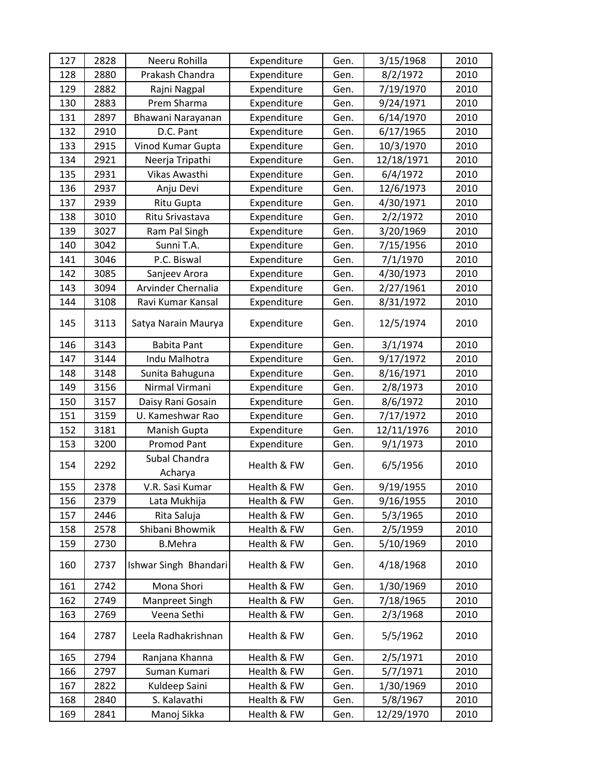| 127 | 2828 | Neeru Rohilla            | Expenditure | Gen. | 3/15/1968  | 2010 |
|-----|------|--------------------------|-------------|------|------------|------|
| 128 | 2880 | Prakash Chandra          | Expenditure | Gen. | 8/2/1972   | 2010 |
| 129 | 2882 | Rajni Nagpal             | Expenditure | Gen. | 7/19/1970  | 2010 |
| 130 | 2883 | Prem Sharma              | Expenditure | Gen. | 9/24/1971  | 2010 |
| 131 | 2897 | Bhawani Narayanan        | Expenditure | Gen. | 6/14/1970  | 2010 |
| 132 | 2910 | D.C. Pant                | Expenditure | Gen. | 6/17/1965  | 2010 |
| 133 | 2915 | Vinod Kumar Gupta        | Expenditure | Gen. | 10/3/1970  | 2010 |
| 134 | 2921 | Neerja Tripathi          | Expenditure | Gen. | 12/18/1971 | 2010 |
| 135 | 2931 | Vikas Awasthi            | Expenditure | Gen. | 6/4/1972   | 2010 |
| 136 | 2937 | Anju Devi                | Expenditure | Gen. | 12/6/1973  | 2010 |
| 137 | 2939 | Ritu Gupta               | Expenditure | Gen. | 4/30/1971  | 2010 |
| 138 | 3010 | Ritu Srivastava          | Expenditure | Gen. | 2/2/1972   | 2010 |
| 139 | 3027 | Ram Pal Singh            | Expenditure | Gen. | 3/20/1969  | 2010 |
| 140 | 3042 | Sunni T.A.               | Expenditure | Gen. | 7/15/1956  | 2010 |
| 141 | 3046 | P.C. Biswal              | Expenditure | Gen. | 7/1/1970   | 2010 |
| 142 | 3085 | Sanjeev Arora            | Expenditure | Gen. | 4/30/1973  | 2010 |
| 143 | 3094 | Arvinder Chernalia       | Expenditure | Gen. | 2/27/1961  | 2010 |
| 144 | 3108 | Ravi Kumar Kansal        | Expenditure | Gen. | 8/31/1972  | 2010 |
| 145 | 3113 | Satya Narain Maurya      | Expenditure | Gen. | 12/5/1974  | 2010 |
| 146 | 3143 | <b>Babita Pant</b>       | Expenditure | Gen. | 3/1/1974   | 2010 |
| 147 | 3144 | Indu Malhotra            | Expenditure | Gen. | 9/17/1972  | 2010 |
| 148 | 3148 | Sunita Bahuguna          | Expenditure | Gen. | 8/16/1971  | 2010 |
| 149 | 3156 | Nirmal Virmani           | Expenditure | Gen. | 2/8/1973   | 2010 |
| 150 | 3157 | Daisy Rani Gosain        | Expenditure | Gen. | 8/6/1972   | 2010 |
| 151 | 3159 | U. Kameshwar Rao         | Expenditure | Gen. | 7/17/1972  | 2010 |
| 152 | 3181 | Manish Gupta             | Expenditure | Gen. | 12/11/1976 | 2010 |
| 153 | 3200 | Promod Pant              | Expenditure | Gen. | 9/1/1973   | 2010 |
| 154 | 2292 | Subal Chandra<br>Acharya | Health & FW | Gen. | 6/5/1956   | 2010 |
| 155 | 2378 | V.R. Sasi Kumar          | Health & FW | Gen. | 9/19/1955  | 2010 |
| 156 | 2379 | Lata Mukhija             | Health & FW | Gen. | 9/16/1955  | 2010 |
| 157 | 2446 | Rita Saluja              | Health & FW | Gen. | 5/3/1965   | 2010 |
| 158 | 2578 | Shibani Bhowmik          | Health & FW | Gen. | 2/5/1959   | 2010 |
| 159 | 2730 | <b>B.Mehra</b>           | Health & FW | Gen. | 5/10/1969  | 2010 |
| 160 | 2737 | Ishwar Singh Bhandari    | Health & FW | Gen. | 4/18/1968  | 2010 |
| 161 | 2742 | Mona Shori               | Health & FW | Gen. | 1/30/1969  | 2010 |
| 162 | 2749 | Manpreet Singh           | Health & FW | Gen. | 7/18/1965  | 2010 |
| 163 | 2769 | Veena Sethi              | Health & FW | Gen. | 2/3/1968   | 2010 |
| 164 | 2787 | Leela Radhakrishnan      | Health & FW | Gen. | 5/5/1962   | 2010 |
| 165 | 2794 | Ranjana Khanna           | Health & FW | Gen. | 2/5/1971   | 2010 |
| 166 | 2797 | Suman Kumari             | Health & FW | Gen. | 5/7/1971   | 2010 |
| 167 | 2822 | Kuldeep Saini            | Health & FW | Gen. | 1/30/1969  | 2010 |
| 168 | 2840 | S. Kalavathi             | Health & FW | Gen. | 5/8/1967   | 2010 |
| 169 | 2841 | Manoj Sikka              | Health & FW | Gen. | 12/29/1970 | 2010 |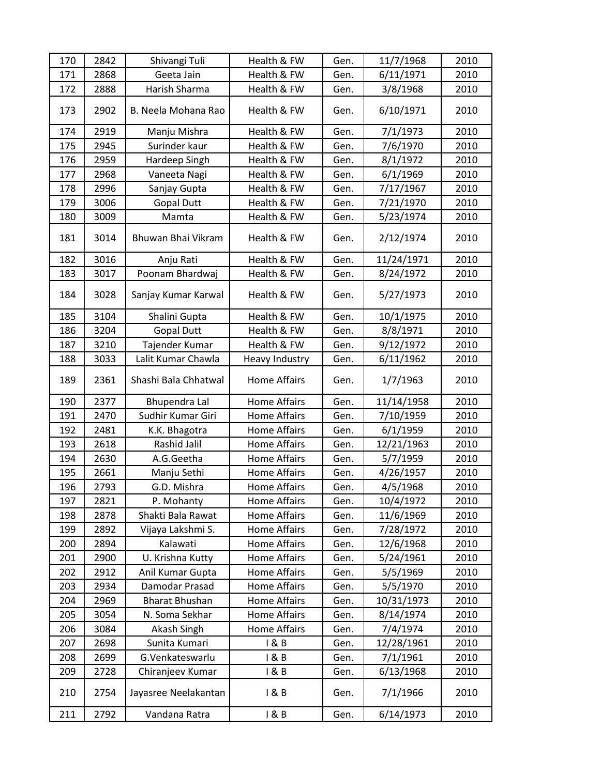| 170 | 2842 | Shivangi Tuli         | Health & FW         | Gen. | 11/7/1968  | 2010 |
|-----|------|-----------------------|---------------------|------|------------|------|
| 171 | 2868 | Geeta Jain            | Health & FW         | Gen. | 6/11/1971  | 2010 |
| 172 | 2888 | Harish Sharma         | Health & FW         | Gen. | 3/8/1968   | 2010 |
| 173 | 2902 | B. Neela Mohana Rao   | Health & FW         | Gen. | 6/10/1971  | 2010 |
| 174 | 2919 | Manju Mishra          | Health & FW         | Gen. | 7/1/1973   | 2010 |
| 175 | 2945 | Surinder kaur         | Health & FW         | Gen. | 7/6/1970   | 2010 |
| 176 | 2959 | Hardeep Singh         | Health & FW         | Gen. | 8/1/1972   | 2010 |
| 177 | 2968 | Vaneeta Nagi          | Health & FW         | Gen. | 6/1/1969   | 2010 |
| 178 | 2996 | Sanjay Gupta          | Health & FW         | Gen. | 7/17/1967  | 2010 |
| 179 | 3006 | <b>Gopal Dutt</b>     | Health & FW         | Gen. | 7/21/1970  | 2010 |
| 180 | 3009 | Mamta                 | Health & FW         | Gen. | 5/23/1974  | 2010 |
| 181 | 3014 | Bhuwan Bhai Vikram    | Health & FW         | Gen. | 2/12/1974  | 2010 |
| 182 | 3016 | Anju Rati             | Health & FW         | Gen. | 11/24/1971 | 2010 |
| 183 | 3017 | Poonam Bhardwaj       | Health & FW         | Gen. | 8/24/1972  | 2010 |
| 184 | 3028 | Sanjay Kumar Karwal   | Health & FW         | Gen. | 5/27/1973  | 2010 |
| 185 | 3104 | Shalini Gupta         | Health & FW         | Gen. | 10/1/1975  | 2010 |
| 186 | 3204 | <b>Gopal Dutt</b>     | Health & FW         | Gen. | 8/8/1971   | 2010 |
| 187 | 3210 | Tajender Kumar        | Health & FW         | Gen. | 9/12/1972  | 2010 |
| 188 | 3033 | Lalit Kumar Chawla    | Heavy Industry      | Gen. | 6/11/1962  | 2010 |
| 189 | 2361 | Shashi Bala Chhatwal  | <b>Home Affairs</b> | Gen. | 1/7/1963   | 2010 |
| 190 | 2377 | Bhupendra Lal         | <b>Home Affairs</b> | Gen. | 11/14/1958 | 2010 |
| 191 | 2470 | Sudhir Kumar Giri     | <b>Home Affairs</b> | Gen. | 7/10/1959  | 2010 |
| 192 | 2481 | K.K. Bhagotra         | <b>Home Affairs</b> | Gen. | 6/1/1959   | 2010 |
| 193 | 2618 | Rashid Jalil          | <b>Home Affairs</b> | Gen. | 12/21/1963 | 2010 |
| 194 | 2630 | A.G.Geetha            | <b>Home Affairs</b> | Gen. | 5/7/1959   | 2010 |
| 195 | 2661 | Manju Sethi           | <b>Home Affairs</b> | Gen. | 4/26/1957  | 2010 |
| 196 | 2793 | G.D. Mishra           | <b>Home Affairs</b> | Gen. | 4/5/1968   | 2010 |
| 197 | 2821 | P. Mohanty            | Home Affairs        | Gen. | 10/4/1972  | 2010 |
| 198 | 2878 | Shakti Bala Rawat     | <b>Home Affairs</b> | Gen. | 11/6/1969  | 2010 |
| 199 | 2892 | Vijaya Lakshmi S.     | Home Affairs        | Gen. | 7/28/1972  | 2010 |
| 200 | 2894 | Kalawati              | Home Affairs        | Gen. | 12/6/1968  | 2010 |
| 201 | 2900 | U. Krishna Kutty      | Home Affairs        | Gen. | 5/24/1961  | 2010 |
| 202 | 2912 | Anil Kumar Gupta      | Home Affairs        | Gen. | 5/5/1969   | 2010 |
| 203 | 2934 | Damodar Prasad        | Home Affairs        | Gen. | 5/5/1970   | 2010 |
| 204 | 2969 | <b>Bharat Bhushan</b> | <b>Home Affairs</b> | Gen. | 10/31/1973 | 2010 |
| 205 | 3054 | N. Soma Sekhar        | Home Affairs        | Gen. | 8/14/1974  | 2010 |
| 206 | 3084 | Akash Singh           | Home Affairs        | Gen. | 7/4/1974   | 2010 |
| 207 | 2698 | Sunita Kumari         | 1 & B               | Gen. | 12/28/1961 | 2010 |
| 208 | 2699 | G.Venkateswarlu       | 1 & B               | Gen. | 7/1/1961   | 2010 |
| 209 | 2728 | Chiranjeev Kumar      | 1 & B               | Gen. | 6/13/1968  | 2010 |
| 210 | 2754 | Jayasree Neelakantan  | 1 & B               | Gen. | 7/1/1966   | 2010 |
| 211 | 2792 | Vandana Ratra         | 1 & B               | Gen. | 6/14/1973  | 2010 |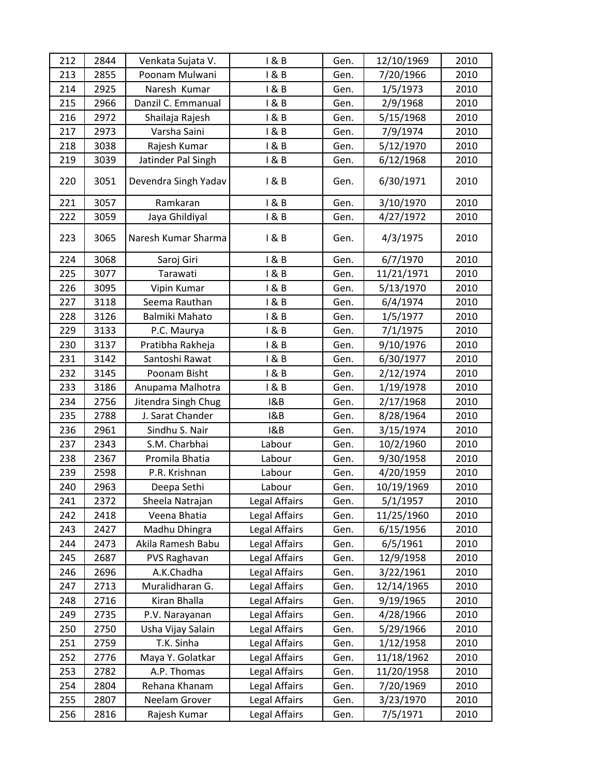| 212 | 2844 | Venkata Sujata V.    | 1 & B         | Gen. | 12/10/1969 | 2010 |
|-----|------|----------------------|---------------|------|------------|------|
| 213 | 2855 | Poonam Mulwani       | 1 & B         | Gen. | 7/20/1966  | 2010 |
| 214 | 2925 | Naresh Kumar         | 1 & B         | Gen. | 1/5/1973   | 2010 |
| 215 | 2966 | Danzil C. Emmanual   | 1 & B         | Gen. | 2/9/1968   | 2010 |
| 216 | 2972 | Shailaja Rajesh      | 1 & B         | Gen. | 5/15/1968  | 2010 |
| 217 | 2973 | Varsha Saini         | 1 & B         | Gen. | 7/9/1974   | 2010 |
| 218 | 3038 | Rajesh Kumar         | 1 & B         | Gen. | 5/12/1970  | 2010 |
| 219 | 3039 | Jatinder Pal Singh   | 1 & B         | Gen. | 6/12/1968  | 2010 |
| 220 | 3051 | Devendra Singh Yadav | 1 & B         | Gen. | 6/30/1971  | 2010 |
| 221 | 3057 | Ramkaran             | 1 & B         | Gen. | 3/10/1970  | 2010 |
| 222 | 3059 | Jaya Ghildiyal       | 1 & B         | Gen. | 4/27/1972  | 2010 |
| 223 | 3065 | Naresh Kumar Sharma  | 1 & B         | Gen. | 4/3/1975   | 2010 |
| 224 | 3068 | Saroj Giri           | 1 & B         | Gen. | 6/7/1970   | 2010 |
| 225 | 3077 | Tarawati             | 1 & B         | Gen. | 11/21/1971 | 2010 |
| 226 | 3095 | Vipin Kumar          | 1 & B         | Gen. | 5/13/1970  | 2010 |
| 227 | 3118 | Seema Rauthan        | 1 & B         | Gen. | 6/4/1974   | 2010 |
| 228 | 3126 | Balmiki Mahato       | 1 & B         | Gen. | 1/5/1977   | 2010 |
| 229 | 3133 | P.C. Maurya          | 1 & B         | Gen. | 7/1/1975   | 2010 |
| 230 | 3137 | Pratibha Rakheja     | 1 & B         | Gen. | 9/10/1976  | 2010 |
| 231 | 3142 | Santoshi Rawat       | 1 & B         | Gen. | 6/30/1977  | 2010 |
| 232 | 3145 | Poonam Bisht         | 1 & B         | Gen. | 2/12/1974  | 2010 |
| 233 | 3186 | Anupama Malhotra     | 1 & B         | Gen. | 1/19/1978  | 2010 |
| 234 | 2756 | Jitendra Singh Chug  | 18B           | Gen. | 2/17/1968  | 2010 |
| 235 | 2788 | J. Sarat Chander     | 18B           | Gen. | 8/28/1964  | 2010 |
| 236 | 2961 | Sindhu S. Nair       | 18B           | Gen. | 3/15/1974  | 2010 |
| 237 | 2343 | S.M. Charbhai        | Labour        | Gen. | 10/2/1960  | 2010 |
| 238 | 2367 | Promila Bhatia       | Labour        | Gen. | 9/30/1958  | 2010 |
| 239 | 2598 | P.R. Krishnan        | Labour        | Gen. | 4/20/1959  | 2010 |
| 240 | 2963 | Deepa Sethi          | Labour        | Gen. | 10/19/1969 | 2010 |
| 241 | 2372 | Sheela Natrajan      | Legal Affairs | Gen. | 5/1/1957   | 2010 |
| 242 | 2418 | Veena Bhatia         | Legal Affairs | Gen. | 11/25/1960 | 2010 |
| 243 | 2427 | Madhu Dhingra        | Legal Affairs | Gen. | 6/15/1956  | 2010 |
| 244 | 2473 | Akila Ramesh Babu    | Legal Affairs | Gen. | 6/5/1961   | 2010 |
| 245 | 2687 | PVS Raghavan         | Legal Affairs | Gen. | 12/9/1958  | 2010 |
| 246 | 2696 | A.K.Chadha           | Legal Affairs | Gen. | 3/22/1961  | 2010 |
| 247 | 2713 | Muralidharan G.      | Legal Affairs | Gen. | 12/14/1965 | 2010 |
| 248 | 2716 | Kiran Bhalla         | Legal Affairs | Gen. | 9/19/1965  | 2010 |
| 249 | 2735 | P.V. Narayanan       | Legal Affairs | Gen. | 4/28/1966  | 2010 |
| 250 | 2750 | Usha Vijay Salain    | Legal Affairs | Gen. | 5/29/1966  | 2010 |
| 251 | 2759 | T.K. Sinha           | Legal Affairs | Gen. | 1/12/1958  | 2010 |
| 252 | 2776 | Maya Y. Golatkar     | Legal Affairs | Gen. | 11/18/1962 | 2010 |
| 253 | 2782 | A.P. Thomas          | Legal Affairs | Gen. | 11/20/1958 | 2010 |
| 254 | 2804 | Rehana Khanam        | Legal Affairs | Gen. | 7/20/1969  | 2010 |
| 255 | 2807 | Neelam Grover        | Legal Affairs | Gen. | 3/23/1970  | 2010 |
| 256 | 2816 | Rajesh Kumar         | Legal Affairs | Gen. | 7/5/1971   | 2010 |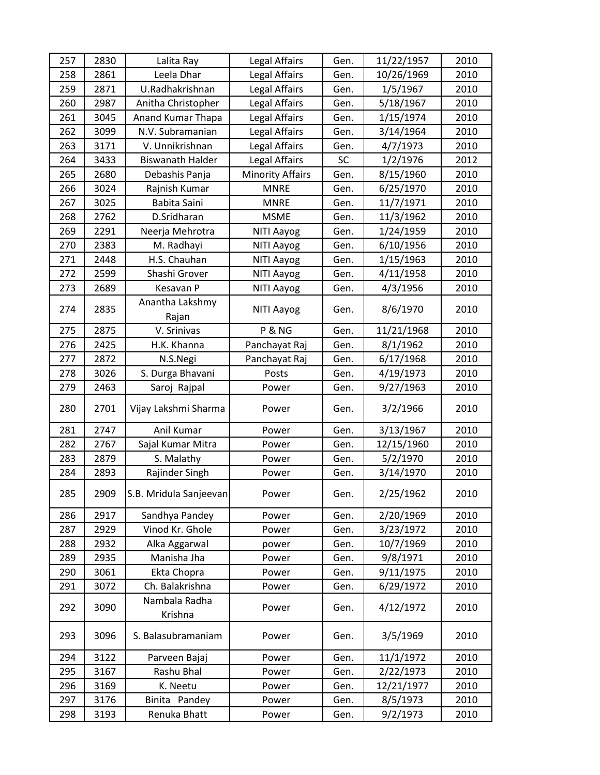| 257 | 2830 | Lalita Ray               | Legal Affairs           | Gen.      | 11/22/1957 | 2010 |
|-----|------|--------------------------|-------------------------|-----------|------------|------|
| 258 | 2861 | Leela Dhar               | Legal Affairs           | Gen.      | 10/26/1969 | 2010 |
| 259 | 2871 | U.Radhakrishnan          | Legal Affairs           | Gen.      | 1/5/1967   | 2010 |
| 260 | 2987 | Anitha Christopher       | Legal Affairs           | Gen.      | 5/18/1967  | 2010 |
| 261 | 3045 | Anand Kumar Thapa        | Legal Affairs           | Gen.      | 1/15/1974  | 2010 |
| 262 | 3099 | N.V. Subramanian         | Legal Affairs           | Gen.      | 3/14/1964  | 2010 |
| 263 | 3171 | V. Unnikrishnan          | Legal Affairs           | Gen.      | 4/7/1973   | 2010 |
| 264 | 3433 | <b>Biswanath Halder</b>  | Legal Affairs           | <b>SC</b> | 1/2/1976   | 2012 |
| 265 | 2680 | Debashis Panja           | <b>Minority Affairs</b> | Gen.      | 8/15/1960  | 2010 |
| 266 | 3024 | Rajnish Kumar            | <b>MNRE</b>             | Gen.      | 6/25/1970  | 2010 |
| 267 | 3025 | Babita Saini             | <b>MNRE</b>             | Gen.      | 11/7/1971  | 2010 |
| 268 | 2762 | D.Sridharan              | <b>MSME</b>             | Gen.      | 11/3/1962  | 2010 |
| 269 | 2291 | Neerja Mehrotra          | NITI Aayog              | Gen.      | 1/24/1959  | 2010 |
| 270 | 2383 | M. Radhayi               | NITI Aayog              | Gen.      | 6/10/1956  | 2010 |
| 271 | 2448 | H.S. Chauhan             | NITI Aayog              | Gen.      | 1/15/1963  | 2010 |
| 272 | 2599 | Shashi Grover            | NITI Aayog              | Gen.      | 4/11/1958  | 2010 |
| 273 | 2689 | Kesavan P                | NITI Aayog              | Gen.      | 4/3/1956   | 2010 |
| 274 | 2835 | Anantha Lakshmy<br>Rajan | NITI Aayog              | Gen.      | 8/6/1970   | 2010 |
| 275 | 2875 | V. Srinivas              | P & NG                  | Gen.      | 11/21/1968 | 2010 |
| 276 | 2425 | H.K. Khanna              | Panchayat Raj           | Gen.      | 8/1/1962   | 2010 |
| 277 | 2872 | N.S.Negi                 | Panchayat Raj           | Gen.      | 6/17/1968  | 2010 |
| 278 | 3026 | S. Durga Bhavani         | Posts                   | Gen.      | 4/19/1973  | 2010 |
| 279 | 2463 | Saroj Rajpal             | Power                   | Gen.      | 9/27/1963  | 2010 |
| 280 | 2701 | Vijay Lakshmi Sharma     | Power                   | Gen.      | 3/2/1966   | 2010 |
| 281 | 2747 | Anil Kumar               | Power                   | Gen.      | 3/13/1967  | 2010 |
| 282 | 2767 | Sajal Kumar Mitra        | Power                   | Gen.      | 12/15/1960 | 2010 |
| 283 | 2879 | S. Malathy               | Power                   | Gen.      | 5/2/1970   | 2010 |
| 284 | 2893 | Rajinder Singh           | Power                   | Gen.      | 3/14/1970  | 2010 |
| 285 | 2909 | S.B. Mridula Sanjeevan   | Power                   | Gen.      | 2/25/1962  | 2010 |
| 286 | 2917 | Sandhya Pandey           | Power                   | Gen.      | 2/20/1969  | 2010 |
| 287 | 2929 | Vinod Kr. Ghole          | Power                   | Gen.      | 3/23/1972  | 2010 |
| 288 | 2932 | Alka Aggarwal            | power                   | Gen.      | 10/7/1969  | 2010 |
| 289 | 2935 | Manisha Jha              | Power                   | Gen.      | 9/8/1971   | 2010 |
| 290 | 3061 | Ekta Chopra              | Power                   | Gen.      | 9/11/1975  | 2010 |
| 291 | 3072 | Ch. Balakrishna          | Power                   | Gen.      | 6/29/1972  | 2010 |
| 292 | 3090 | Nambala Radha<br>Krishna | Power                   | Gen.      | 4/12/1972  | 2010 |
| 293 | 3096 | S. Balasubramaniam       | Power                   | Gen.      | 3/5/1969   | 2010 |
| 294 | 3122 | Parveen Bajaj            | Power                   | Gen.      | 11/1/1972  | 2010 |
| 295 | 3167 | Rashu Bhal               | Power                   | Gen.      | 2/22/1973  | 2010 |
| 296 | 3169 | K. Neetu                 | Power                   | Gen.      | 12/21/1977 | 2010 |
| 297 | 3176 | Binita Pandey            | Power                   | Gen.      | 8/5/1973   | 2010 |
| 298 | 3193 | Renuka Bhatt             | Power                   | Gen.      | 9/2/1973   | 2010 |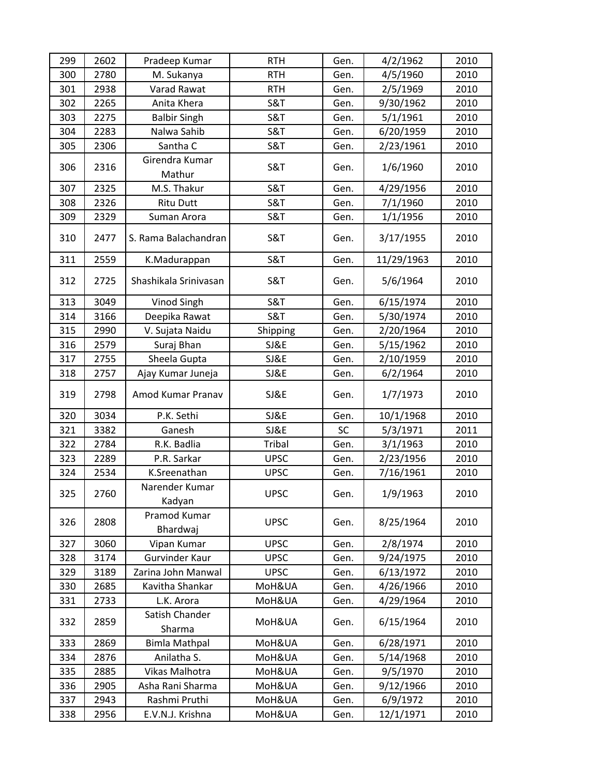| 299 | 2602 | Pradeep Kumar            | <b>RTH</b>     | Gen.      | 4/2/1962   | 2010 |
|-----|------|--------------------------|----------------|-----------|------------|------|
| 300 | 2780 | M. Sukanya               | <b>RTH</b>     | Gen.      | 4/5/1960   | 2010 |
| 301 | 2938 | Varad Rawat              | <b>RTH</b>     | Gen.      | 2/5/1969   | 2010 |
| 302 | 2265 | Anita Khera              | <b>S&amp;T</b> | Gen.      | 9/30/1962  | 2010 |
| 303 | 2275 | <b>Balbir Singh</b>      | S&T            | Gen.      | 5/1/1961   | 2010 |
| 304 | 2283 | Nalwa Sahib              | <b>S&amp;T</b> | Gen.      | 6/20/1959  | 2010 |
| 305 | 2306 | Santha C                 | S&T            | Gen.      | 2/23/1961  | 2010 |
| 306 | 2316 | Girendra Kumar<br>Mathur | <b>S&amp;T</b> | Gen.      | 1/6/1960   | 2010 |
| 307 | 2325 | M.S. Thakur              | <b>S&amp;T</b> | Gen.      | 4/29/1956  | 2010 |
| 308 | 2326 | <b>Ritu Dutt</b>         | <b>S&amp;T</b> | Gen.      | 7/1/1960   | 2010 |
| 309 | 2329 | Suman Arora              | <b>S&amp;T</b> | Gen.      | 1/1/1956   | 2010 |
| 310 | 2477 | S. Rama Balachandran     | <b>S&amp;T</b> | Gen.      | 3/17/1955  | 2010 |
| 311 | 2559 | K.Madurappan             | <b>S&amp;T</b> | Gen.      | 11/29/1963 | 2010 |
| 312 | 2725 | Shashikala Srinivasan    | <b>S&amp;T</b> | Gen.      | 5/6/1964   | 2010 |
| 313 | 3049 | Vinod Singh              | <b>S&amp;T</b> | Gen.      | 6/15/1974  | 2010 |
| 314 | 3166 | Deepika Rawat            | <b>S&amp;T</b> | Gen.      | 5/30/1974  | 2010 |
| 315 | 2990 | V. Sujata Naidu          | Shipping       | Gen.      | 2/20/1964  | 2010 |
| 316 | 2579 | Suraj Bhan               | SJ&E           | Gen.      | 5/15/1962  | 2010 |
| 317 | 2755 | Sheela Gupta             | SJ&E           | Gen.      | 2/10/1959  | 2010 |
| 318 | 2757 | Ajay Kumar Juneja        | SJ&E           | Gen.      | 6/2/1964   | 2010 |
| 319 | 2798 | Amod Kumar Pranav        | SJ&E           | Gen.      | 1/7/1973   | 2010 |
| 320 | 3034 | P.K. Sethi               | SJ&E           | Gen.      | 10/1/1968  | 2010 |
| 321 | 3382 | Ganesh                   | SJ&E           | <b>SC</b> | 5/3/1971   | 2011 |
| 322 | 2784 | R.K. Badlia              | Tribal         | Gen.      | 3/1/1963   | 2010 |
| 323 | 2289 | P.R. Sarkar              | <b>UPSC</b>    | Gen.      | 2/23/1956  | 2010 |
| 324 | 2534 | K.Sreenathan             | <b>UPSC</b>    | Gen.      | 7/16/1961  | 2010 |
| 325 | 2760 | Narender Kumar<br>Kadyan | <b>UPSC</b>    | Gen.      | 1/9/1963   | 2010 |
| 326 | 2808 | Pramod Kumar<br>Bhardwaj | <b>UPSC</b>    | Gen.      | 8/25/1964  | 2010 |
| 327 | 3060 | Vipan Kumar              | <b>UPSC</b>    | Gen.      | 2/8/1974   | 2010 |
| 328 | 3174 | <b>Gurvinder Kaur</b>    | <b>UPSC</b>    | Gen.      | 9/24/1975  | 2010 |
| 329 | 3189 | Zarina John Manwal       | <b>UPSC</b>    | Gen.      | 6/13/1972  | 2010 |
| 330 | 2685 | Kavitha Shankar          | MoH&UA         | Gen.      | 4/26/1966  | 2010 |
| 331 | 2733 | L.K. Arora               | MoH&UA         | Gen.      | 4/29/1964  | 2010 |
| 332 | 2859 | Satish Chander<br>Sharma | MoH&UA         | Gen.      | 6/15/1964  | 2010 |
| 333 | 2869 | <b>Bimla Mathpal</b>     | MoH&UA         | Gen.      | 6/28/1971  | 2010 |
| 334 | 2876 | Anilatha S.              | MoH&UA         | Gen.      | 5/14/1968  | 2010 |
| 335 | 2885 | Vikas Malhotra           | MoH&UA         | Gen.      | 9/5/1970   | 2010 |
| 336 | 2905 | Asha Rani Sharma         | MoH&UA         | Gen.      | 9/12/1966  | 2010 |
| 337 | 2943 | Rashmi Pruthi            | MoH&UA         | Gen.      | 6/9/1972   | 2010 |
| 338 | 2956 | E.V.N.J. Krishna         | MoH&UA         | Gen.      | 12/1/1971  | 2010 |